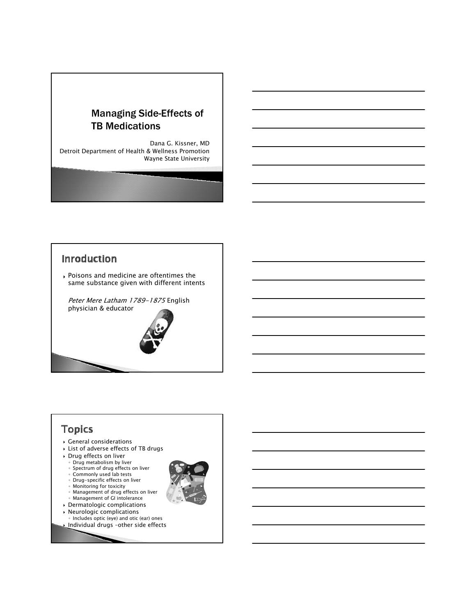

Dana G. Kissner, MD Detroit Department of Health & Wellness Promotion Wayne State University

# **Inroduction** ` Poisons and medicine are oftentimes the same substance given with different intents Peter Mere Latham 1789-1875 English physician & educator

# **Topics**

- $\rightarrow$  General considerations
- ` List of adverse effects of TB drugs
- ` Drug effects on liver
	- Drug metabolism by liver
	- Spectrum of drug effects on liver
	- Commonly used lab tests
	- Drug-specific effects on liver
	- Monitoring for toxicity Management of drug effects on liver
	-
- Management of GI intolerance  $\rightarrow$  Dermatologic complications
- 
- $\rightarrow$  Neurologic complications
- Includes optic (eye) and otic (ear) ones ` Individual drugs –other side effects
-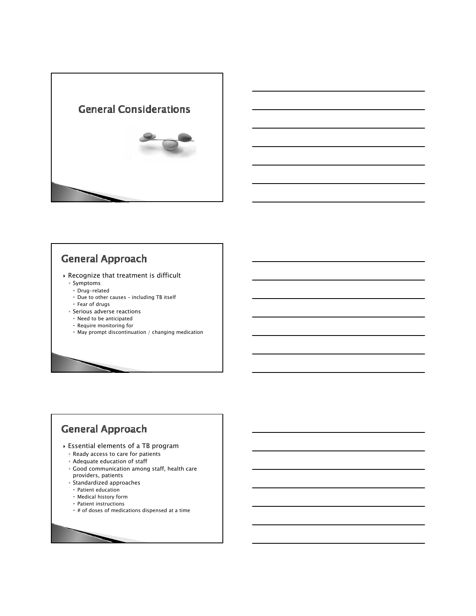



# **General Approach**

- $\rightarrow$  Recognize that treatment is difficult
	- Symptoms
	- $\cdot$  Drug-related
	- $\cdot$  Due to other causes including TB itself
	- $\cdot$  Fear of drugs
	- Serious adverse reactions
	- $\cdot$  Need to be anticipated
	- $\cdot$  Require monitoring for
	- $\cdot$  May prompt discontinuation / changing medication

# **General Approach**

- ` Essential elements of a TB program
	- Ready access to care for patients
	- Adequate education of staff
	- Good communication among staff, health care providers, patients
	- Standardized approaches
	- $\cdot$  Patient education
	- $\cdot$  Medical history form
	- $\cdot$  Patient instructions
	- $\cdot$  # of doses of medications dispensed at a time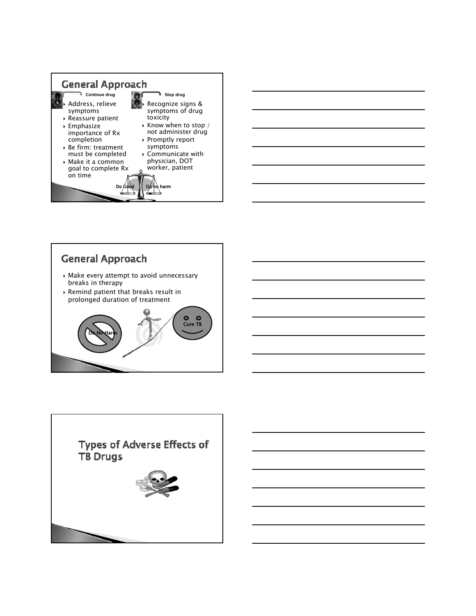



# **General Approach**

- $\rightarrow$  Make every attempt to avoid unnecessary breaks in therapy
- $\rightarrow$  Remind patient that breaks result in prolonged duration of treatment



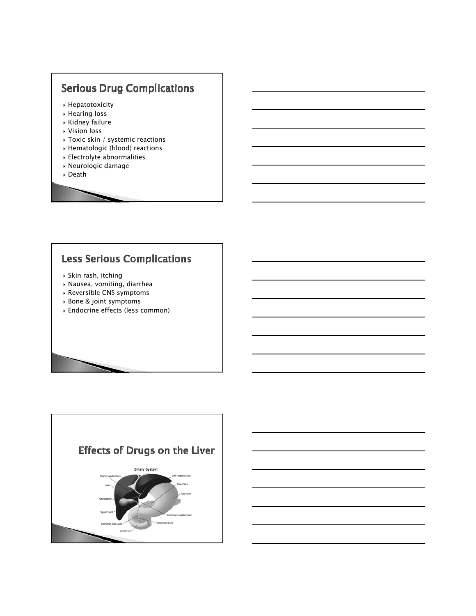# **Serious Drug Complications**

- $\blacktriangleright$  Hepatotoxicity
- ` Hearing loss
- $\rightarrow$  Kidney failure
- ` Vision loss
- ▶ Toxic skin / systemic reactions
- ` Hematologic (blood) reactions
- $\overline{\phantom{a}}$  Electrolyte abnormalities
- ` Neurologic damage
- ` Death

# **Less Serious Complications**

- ` Skin rash, itching
- ` Nausea, vomiting, diarrhea
- ` Reversible CNS symptoms
- ` Bone & joint symptoms
- ` Endocrine effects (less common)

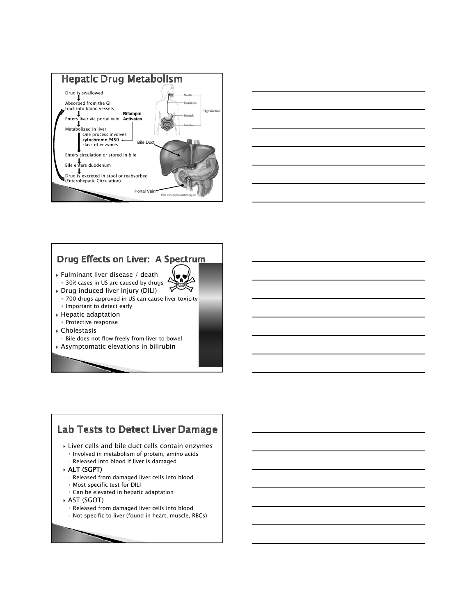



# Drug Effects on Liver: A Spectrum

- ` Fulminant liver disease / death ◦ 30% cases in US are caused by drugs
- ` Drug induced liver injury (DILI)
	- 700 drugs approved in US can cause liver toxicity ◦ Important to detect early

<del></del>

- ` Hepatic adaptation
- Protective response
- ` Cholestasis
- Bile does not flow freely from liver to bowel
- ` Asymptomatic elevations in bilirubin

# Lab Tests to Detect Liver Damage

- **Liver cells and bile duct cells contain enzymes** 
	- Involved in metabolism of protein, amino acids
- Released into blood if liver is damaged
- ` ALT (SGPT)
	- Released from damaged liver cells into blood
	- Most specific test for DILI
	- Can be elevated in hepatic adaptation
- ` AST (SGOT)
	- Released from damaged liver cells into blood
	- Not specific to liver (found in heart, muscle, RBCs)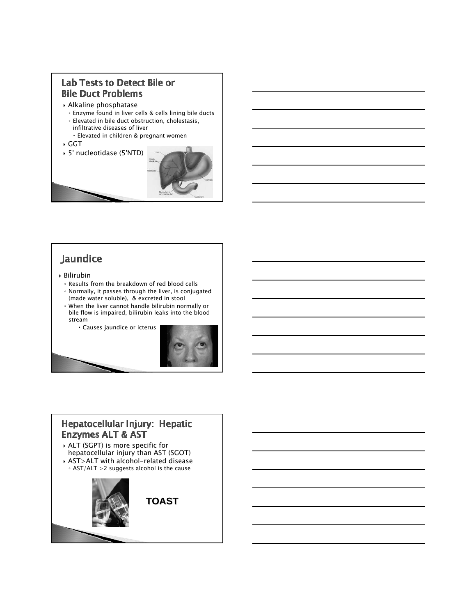#### **Lab Tests to Detect Bile or Bile Duct Problems**

- ` Alkaline phosphatase
- Enzyme found in liver cells & cells lining bile ducts ◦ Elevated in bile duct obstruction, cholestasis, infiltrative diseases of liver
	- x Elevated in children & pregnant women
- ` GGT
- ` 5' nucleotidase (5'NTD)



# Jaundice

- ` Bilirubin
	- Results from the breakdown of red blood cells
	- Normally, it passes through the liver, is conjugated (made water soluble), & excreted in stool ◦ When the liver cannot handle bilirubin normally or
	- bile flow is impaired, bilirubin leaks into the blood stream
	- x Causes jaundice or icterus



#### Hepatocellular Injury: Hepatic **Enzymes ALT & AST**

` ALT (SGPT) is more specific for hepatocellular injury than AST (SGOT) ` AST>ALT with alcohol-related disease ◦ AST/ALT >2 suggests alcohol is the cause

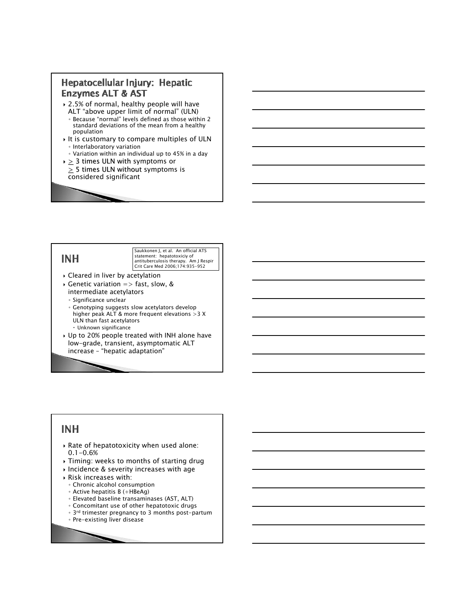#### Hepatocellular Injury: Hepatic **Enzymes ALT & AST**

- $\rightarrow$  2.5% of normal, healthy people will have ALT "above upper limit of normal" (ULN)
- Because "normal" levels defined as those within 2 standard deviations of the mean from a healthy population
- $\rightarrow$  It is customary to compare multiples of ULN ◦ Interlaboratory variation
- Variation within an individual up to 45% in a day  $\rightarrow \geq 3$  times ULN with symptoms or
- $\geq$  5 times ULN without symptoms is considered significant

#### **INH**

Saukkonen J, et al. An official ATS statement: hepatotoxiciy of antituberculosis therapy. Am J Respir Crit Care Med 2006;174:935-952

- $\triangleright$  Cleared in liver by acetylation
- $\rightarrow$  Genetic variation => fast, slow, & intermediate acetylators
	- Significance unclear
	- Genotyping suggests slow acetylators develop higher peak ALT & more frequent elevations >3 X ULN than fast acetylators  $\cdot$  Unknown significance
- $\cdot$  Up to 20% people treated with INH alone have low-grade, transient, asymptomatic ALT increase – "hepatic adaptation"

## **INH**

- $\rightarrow$  Rate of hepatotoxicity when used alone: 0.1-0.6%
- ` Timing: weeks to months of starting drug
- ` Incidence & severity increases with age
- $\triangleright$  Risk increases with:
	- Chronic alcohol consumption
	- Active hepatitis B (+HBeAg)
	- Elevated baseline transaminases (AST, ALT)
	- Concomitant use of other hepatotoxic drugs
	- 3rd trimester pregnancy to 3 months post-partum
	- Pre-existing liver disease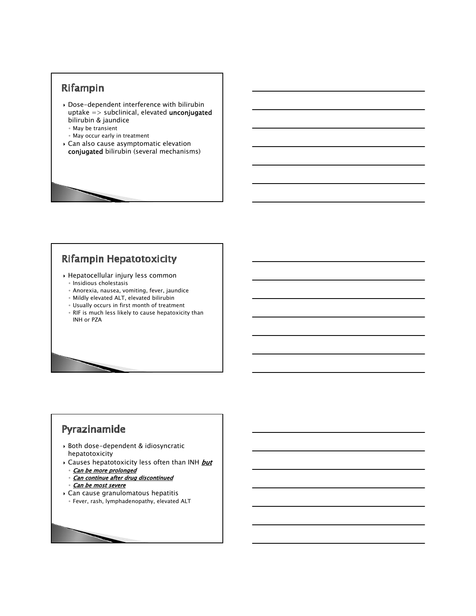# Rifampin

- $\rightarrow$  Dose-dependent interference with bilirubin  $u$ ptake => subclinical, elevated **unconjugated** bilirubin & jaundice
	- May be transient
	- May occur early in treatment
- ` Can also cause asymptomatic elevation conjugated bilirubin (several mechanisms)

# Rifampin Hepatotoxicity

- ` Hepatocellular injury less common
	- Insidious cholestasis
	- Anorexia, nausea, vomiting, fever, jaundice
	- Mildly elevated ALT, elevated bilirubin
	- Usually occurs in first month of treatment
	- RIF is much less likely to cause hepatoxicity than INH or PZA

# Pyrazinamide

- ` Both dose-dependent & idiosyncratic hepatotoxicity
- $\rightarrow$  Causes hepatotoxicity less often than INH but ◦ Can be more prolonged
	- Can continue after drug discontinued
	- Can be most severe
	-
- $\rightarrow$  Can cause granulomatous hepatitis ◦ Fever, rash, lymphadenopathy, elevated ALT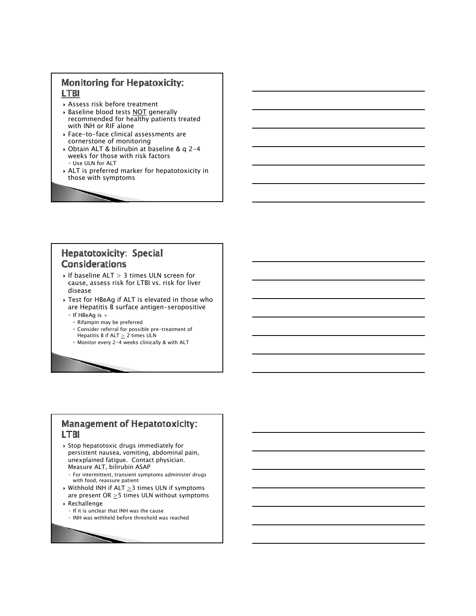#### **Monitoring for Hepatoxicity: LTBI**

- ` Assess risk before treatment
- **Baseline blood tests NOT generally** recommended for healthy patients treated with INH or RIF alone
- ` Face-to-face clinical assessments are cornerstone of monitoring
- ` Obtain ALT & bilirubin at baseline & q 2-4 weeks for those with risk factors ◦ Use ULN for ALT
- ` ALT is preferred marker for hepatotoxicity in those with symptoms

#### **Hepatotoxicity: Special Considerations**

- $\cdot$  If baseline ALT  $> 3$  times ULN screen for cause, assess risk for LTBI vs. risk for liver disease
- ` Test for HBeAg if ALT is elevated in those who are Hepatitis B surface antigen-seropositive
	- If HBeAg is +
	- $\cdot$  Rifampin may be preferred
	- $\cdot$  Consider referral for possible pre-treatment of
	- Hepatitis B if ALT  $\geq 2$  times ULN
	- x Monitor every 2-4 weeks clinically & with ALT

#### **Management of Hepatotoxicity: LTBI**

- $\rightarrow$  Stop hepatotoxic drugs immediately for persistent nausea, vomiting, abdominal pain, unexplained fatigue. Contact physician. Measure ALT, bilirubin ASAP
	- For intermittent, transient symptoms administer drugs with food, reassure patient
- $\rightarrow$  Withhold INH if ALT  $\geq$ 3 times ULN if symptoms are present OR  $\geq$ 5 times ULN without symptoms
- ` Rechallenge
	- If it is unclear that INH was the cause
	- INH was withheld before threshold was reached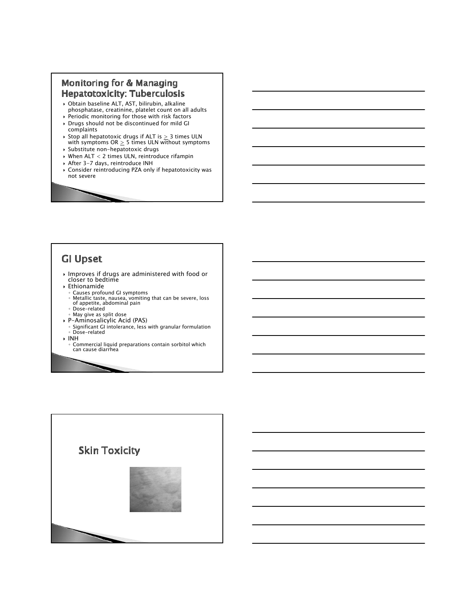#### Monitoring for & Managing **Hepatotoxicity: Tuberculosis**

- ` Obtain baseline ALT, AST, bilirubin, alkaline phosphatase, creatinine, platelet count on all adults
- $\rightarrow$  Periodic monitoring for those with risk factors ` Drugs should not be discontinued for mild GI complaints
- $\,\mathbin{\triangleright}$  Stop all hepatotoxic drugs if ALT is  $\geq 3$  times ULN with symptoms OR  $\geq 5$  times ULN without symptoms
- ` Substitute non-hepatotoxic drugs  $\triangleright$  When ALT < 2 times ULN, reintroduce rifampin
- ` After 3-7 days, reintroduce INH
- $\triangleright$  Consider reintroducing PZA only if hepatotoxicity was not severe

## **GI Upset**

- $\cdot$  Improves if drugs are administered with food or<br>closer to bedtime
- ` Ethionamide
- 
- ∘ Causes profound GI symptoms<br>∘ Metallic taste, nausea, vomiting that can be severe, loss<br>○ of appetite, abdominal pain
- Dose-related May give as split dose
- ` P-Aminosalicylic Acid (PAS)
- Significant GI intolerance, less with granular formulation Dose-related
- $\blacktriangleright$  INH
	- Commercial liquid preparations contain sorbitol which can cause diarrhea

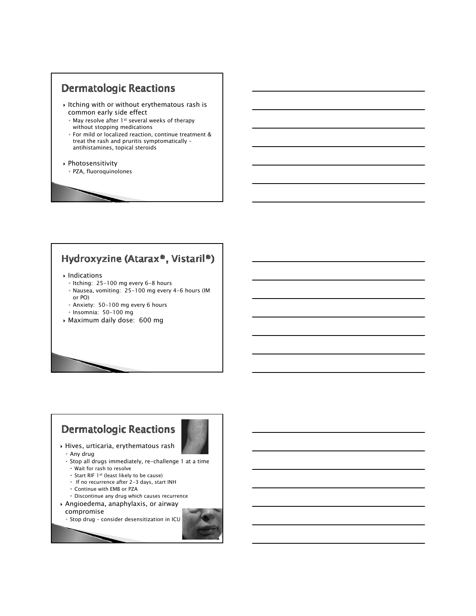#### **Dermatologic Reactions**

- $\rightarrow$  Itching with or without erythematous rash is common early side effect
	- May resolve after 1st several weeks of therapy without stopping medications
	- For mild or localized reaction, continue treatment & treat the rash and pruritis symptomatically – antihistamines, topical steroids
- ` Photosensitivity
	- PZA, fluoroquinolones

# Hydroxyzine (Atarax®, Vistaril®)

#### ` Indications

- Itching: 25-100 mg every 6-8 hours
- Nausea, vomiting: 25-100 mg every 4-6 hours (IM or PO)
- Anxiety: 50-100 mg every 6 hours
- Insomnia: 50-100 mg
- ` Maximum daily dose: 600 mg

# **Dermatologic Reactions**



- ` Hives, urticaria, erythematous rash
	- Any drug
	- Stop all drugs immediately, re-challenge 1 at a time  $\cdot$  Wait for rash to resolve
	- $\cdot$  Start RIF 1st (least likely to be cause)
	- $\cdot$  If no recurrence after 2-3 days, start INH
	- x Continue with EMB or PZA
- $\cdot$  Discontinue any drug which causes recurrence
- ` Angioedema, anaphylaxis, or airway
	- compromise
	- Stop drug consider desensitization in ICU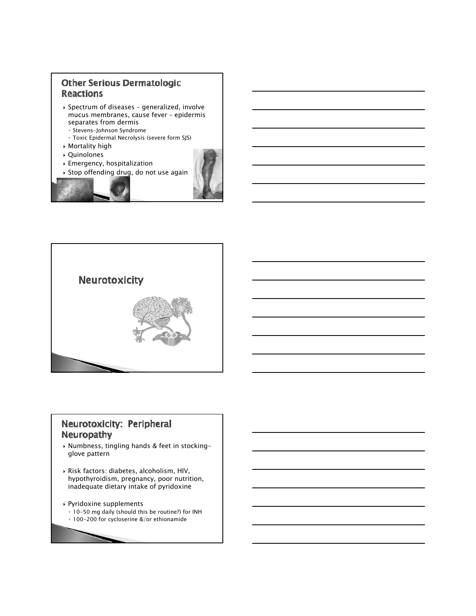#### **Other Serious Dermatologic Reactions**

- ` Spectrum of diseases generalized, involve mucus membranes, cause fever – epidermis separates from dermis
	- Stevens-Johnson Syndrome
	- Toxic Epidermal Necrolysis (severe form SJS)
- ` Mortality high
- ` Quinolones ` Emergency, hospitalization





#### Neurotoxicity: Peripheral **Neuropathy**

- ` Numbness, tingling hands & feet in stockingglove pattern
- ` Risk factors: diabetes, alcoholism, HIV, hypothyroidism, pregnancy, poor nutrition, inadequate dietary intake of pyridoxine

#### ` Pyridoxine supplements

- 10-50 mg daily (should this be routine?) for INH
- 100-200 for cycloserine &/or ethionamide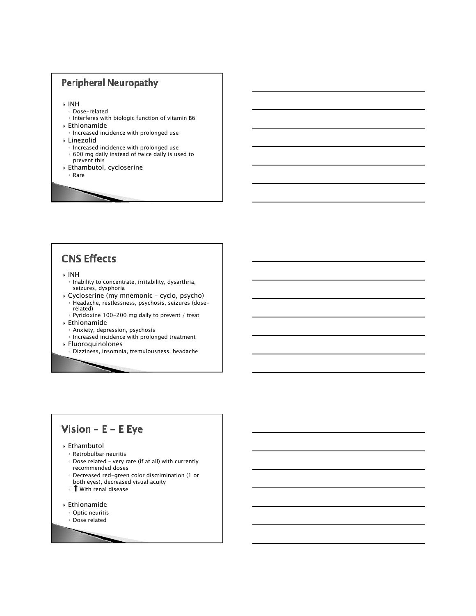

# **CNS Effects**

#### ` INH

- Inability to concentrate, irritability, dysarthria, seizures, dysphoria
- ` Cycloserine (my mnemonic cyclo, psycho) ◦ Headache, restlessness, psychosis, seizures (doserelated)
	- Pyridoxine 100-200 mg daily to prevent / treat
- ` Ethionamide
	- Anxiety, depression, psychosis
	- Increased incidence with prolonged treatment
- ` Fluoroquinolones
	- Dizziness, insomnia, tremulousness, headache

# Vision -  $E - E$  Eye

#### ` Ethambutol

- Retrobulbar neuritis
- Dose related very rare (if at all) with currently recommended doses
- Decreased red-green color discrimination (1 or both eyes), decreased visual acuity
- With renal disease
- ` Ethionamide
	- Optic neuritis
	- Dose related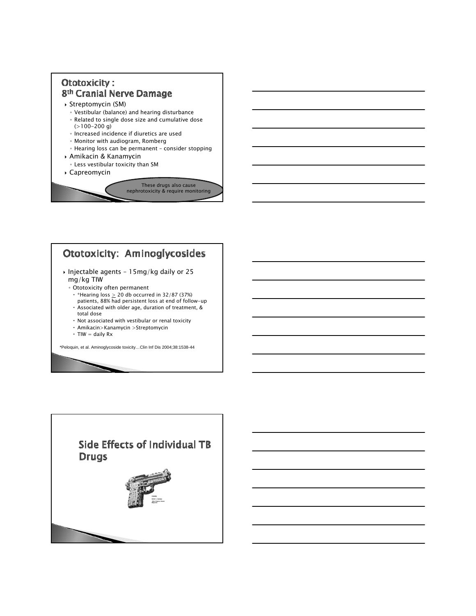# **Ototoxicity:** 8th Cranial Nerve Damage

- ` Streptomycin (SM)
	- Vestibular (balance) and hearing disturbance
	- Related to single dose size and cumulative dose  $(>100-200)$  g)
	- Increased incidence if diuretics are used
	- Monitor with audiogram, Romberg
	- Hearing loss can be permanent consider stopping
- ` Amikacin & Kanamycin ◦ Less vestibular toxicity than SM
- ` Capreomycin



# **Ototoxicity: Aminoglycosides**

- ` Injectable agents 15mg/kg daily or 25 mg/kg TIW
	- Ototoxicity often permanent
	- $\cdot$  \*Hearing loss  $\geq$  20 db occurred in 32/87 (37%)
	- patients, 88% had persistent loss at end of follow-up  $\cdot$  Associated with older age, duration of treatment, & total dose
	- $\cdot$  Not associated with vestibular or renal toxicity
	- $\cdot$  Amikacin>Kanamycin >Streptomycin
	- $\cdot$  TIW = daily Rx
	-

\*Peloquin, et al. Aminoglycoside toxicity…Clin Inf Dis 2004;38:1538-44

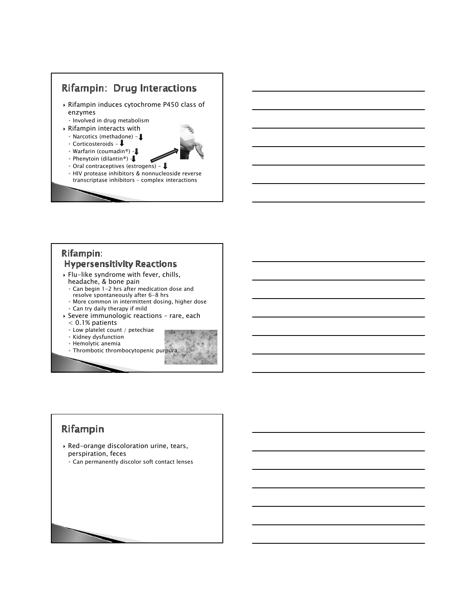

#### Rifampin: **Hypersensitivity Reactions**

- ` Flu-like syndrome with fever, chills, headache, & bone pain
- Can begin 1-2 hrs after medication dose and resolve spontaneously after 6-8 hrs
- More common in intermittent dosing, higher dose ◦ Can try daily therapy if mild
- ` Severe immunologic reactions rare, each < 0.1% patients
	- Low platelet count / petechiae
	- Kidney dysfunction
	- Hemolytic anemia
	- Thrombotic thrombocytopenic purpura



# Rifampin

- $\rightarrow$  Red-orange discoloration urine, tears, perspiration, feces
	- Can permanently discolor soft contact lenses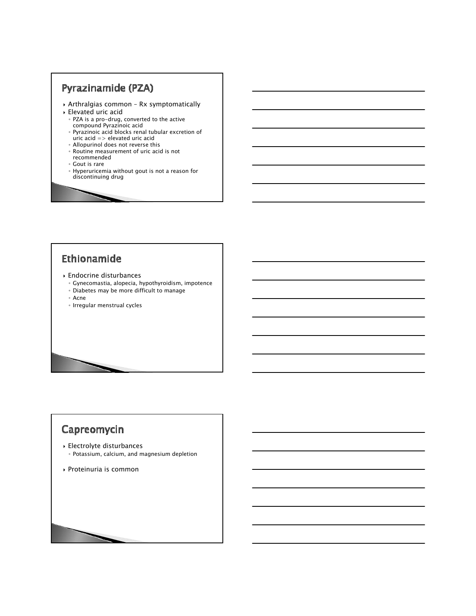# Pyrazinamide (PZA)

- ` Arthralgias common Rx symptomatically
- ` Elevated uric acid
	- PZA is a pro-drug, converted to the active compound Pyrazinoic acid
	- ∘ Pyrazinoic acid blocks renal tubular excretion of<br>uric acid => elevated uric acid
	- Allopurinol does not reverse this
	- Routine measurement of uric acid is not
	- recommended
	- Gout is rare
	- ∘ Hyperuricemia without gout is not a reason for<br>discontinuing drug

# Ethionamide

- ` Endocrine disturbances
	- Gynecomastia, alopecia, hypothyroidism, impotence
	- Diabetes may be more difficult to manage
	- Acne
	- Irregular menstrual cycles

# Capreomycin

- ` Electrolyte disturbances
	- Potassium, calcium, and magnesium depletion
- ` Proteinuria is common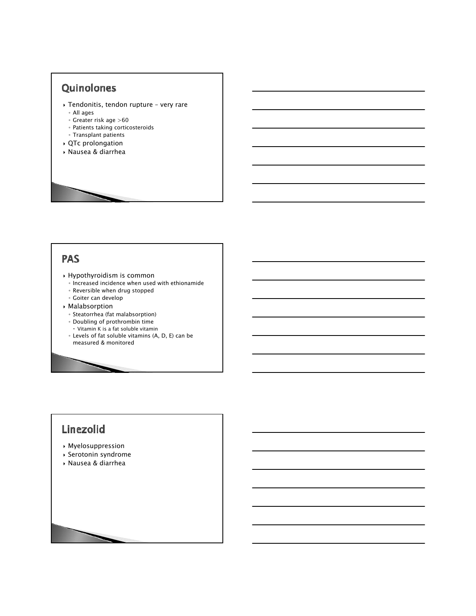## Quinolones

- ` Tendonitis, tendon rupture very rare ◦ All ages
	- Greater risk age >60
	- Patients taking corticosteroids
- Transplant patients
- ` QTc prolongation
- ` Nausea & diarrhea

#### **PAS**

- ` Hypothyroidism is common
	- Increased incidence when used with ethionamide
	- Reversible when drug stopped
	- Goiter can develop
- ` Malabsorption
	- Steatorrhea (fat malabsorption)
	- Doubling of prothrombin time
	- x Vitamin K is a fat soluble vitamin
	- Levels of fat soluble vitamins (A, D, E) can be measured & monitored

# Linezolid

- ` Myelosuppression
- ` Serotonin syndrome
- ` Nausea & diarrhea